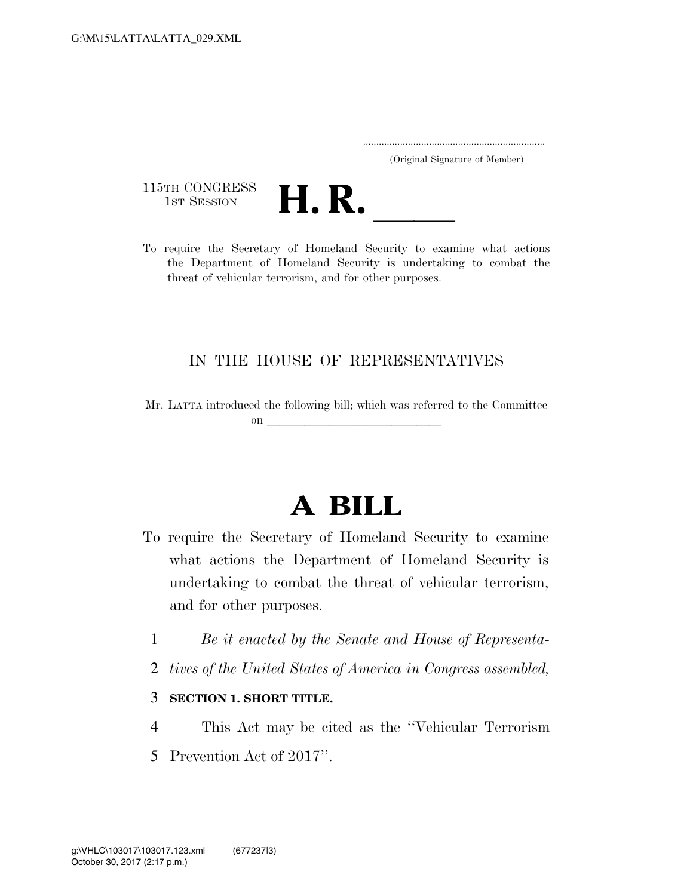..................................................................... (Original Signature of Member)

115TH CONGRESS<br>1st Session



115TH CONGRESS<br>1st SESSION **H. R.** <u>International Security to examine</u> what actions the Department of Homeland Security is undertaking to combat the threat of vehicular terrorism, and for other purposes.

## IN THE HOUSE OF REPRESENTATIVES

Mr. LATTA introduced the following bill; which was referred to the Committee on  $\overline{\phantom{a}}$ 

## **A BILL**

- To require the Secretary of Homeland Security to examine what actions the Department of Homeland Security is undertaking to combat the threat of vehicular terrorism, and for other purposes.
	- 1 *Be it enacted by the Senate and House of Representa-*
	- 2 *tives of the United States of America in Congress assembled,*
	- 3 **SECTION 1. SHORT TITLE.**
	- 4 This Act may be cited as the ''Vehicular Terrorism
	- 5 Prevention Act of 2017''.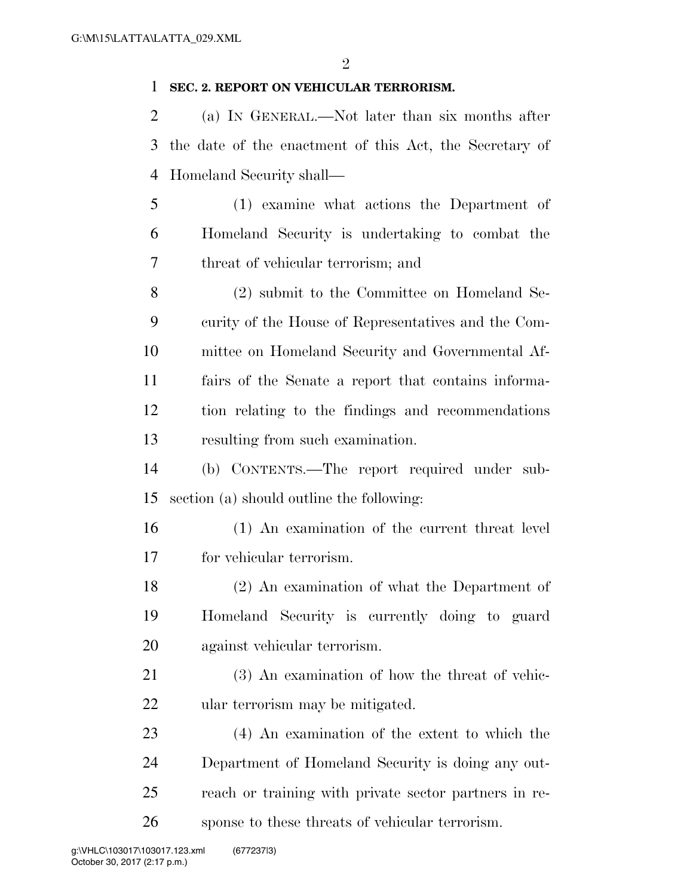## **SEC. 2. REPORT ON VEHICULAR TERRORISM.**

 (a) IN GENERAL.—Not later than six months after the date of the enactment of this Act, the Secretary of Homeland Security shall—

 (1) examine what actions the Department of Homeland Security is undertaking to combat the threat of vehicular terrorism; and

 (2) submit to the Committee on Homeland Se- curity of the House of Representatives and the Com- mittee on Homeland Security and Governmental Af- fairs of the Senate a report that contains informa- tion relating to the findings and recommendations resulting from such examination.

 (b) CONTENTS.—The report required under sub-section (a) should outline the following:

 (1) An examination of the current threat level for vehicular terrorism.

 (2) An examination of what the Department of Homeland Security is currently doing to guard against vehicular terrorism.

 (3) An examination of how the threat of vehic-ular terrorism may be mitigated.

 (4) An examination of the extent to which the Department of Homeland Security is doing any out- reach or training with private sector partners in re-sponse to these threats of vehicular terrorism.